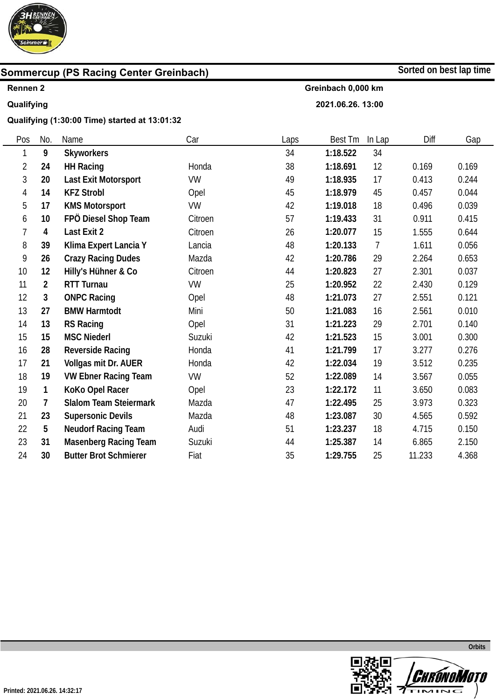

## **Rennen 2**

## **Qualifying**

 $\overline{\phantom{0}}$ 

**Qualifying (1:30:00 Time) started at 13:01:32** 

| Pos | No.            | Name                          | Car       | Laps | <b>Best Tm</b> | In Lap         | Diff   | Gap   |
|-----|----------------|-------------------------------|-----------|------|----------------|----------------|--------|-------|
| 1   | 9              | <b>Skyworkers</b>             |           | 34   | 1:18.522       | 34             |        |       |
| 2   | 24             | <b>HH Racing</b>              | Honda     | 38   | 1:18.691       | 12             | 0.169  | 0.169 |
| 3   | 20             | Last Exit Motorsport          | <b>VW</b> | 49   | 1:18.935       | 17             | 0.413  | 0.244 |
| 4   | 14             | <b>KFZ Strobl</b>             | Opel      | 45   | 1:18.979       | 45             | 0.457  | 0.044 |
| 5   | 17             | <b>KMS Motorsport</b>         | <b>VW</b> | 42   | 1:19.018       | 18             | 0.496  | 0.039 |
| 6   | 10             | FPÖ Diesel Shop Team          | Citroen   | 57   | 1:19.433       | 31             | 0.911  | 0.415 |
| 7   | $\overline{4}$ | Last Exit 2                   | Citroen   | 26   | 1:20.077       | 15             | 1.555  | 0.644 |
| 8   | 39             | Klima Expert Lancia Y         | Lancia    | 48   | 1:20.133       | $\overline{7}$ | 1.611  | 0.056 |
| 9   | 26             | <b>Crazy Racing Dudes</b>     | Mazda     | 42   | 1:20.786       | 29             | 2.264  | 0.653 |
| 10  | 12             | Hilly's Hühner & Co           | Citroen   | 44   | 1:20.823       | 27             | 2.301  | 0.037 |
| 11  | $\overline{2}$ | <b>RTT Turnau</b>             | VW        | 25   | 1:20.952       | 22             | 2.430  | 0.129 |
| 12  | 3              | <b>ONPC Racing</b>            | Opel      | 48   | 1:21.073       | 27             | 2.551  | 0.121 |
| 13  | 27             | <b>BMW Harmtodt</b>           | Mini      | 50   | 1:21.083       | 16             | 2.561  | 0.010 |
| 14  | 13             | <b>RS Racing</b>              | Opel      | 31   | 1:21.223       | 29             | 2.701  | 0.140 |
| 15  | 15             | <b>MSC Niederl</b>            | Suzuki    | 42   | 1:21.523       | 15             | 3.001  | 0.300 |
| 16  | 28             | <b>Reverside Racing</b>       | Honda     | 41   | 1:21.799       | 17             | 3.277  | 0.276 |
| 17  | 21             | Vollgas mit Dr. AUER          | Honda     | 42   | 1:22.034       | 19             | 3.512  | 0.235 |
| 18  | 19             | <b>VW Ebner Racing Team</b>   | VW        | 52   | 1:22.089       | 14             | 3.567  | 0.055 |
| 19  | 1              | KoKo Opel Racer               | Opel      | 23   | 1:22.172       | 11             | 3.650  | 0.083 |
| 20  | 7              | <b>Slalom Team Steiermark</b> | Mazda     | 47   | 1:22.495       | 25             | 3.973  | 0.323 |
| 21  | 23             | <b>Supersonic Devils</b>      | Mazda     | 48   | 1:23.087       | 30             | 4.565  | 0.592 |
| 22  | 5              | <b>Neudorf Racing Team</b>    | Audi      | 51   | 1:23.237       | 18             | 4.715  | 0.150 |
| 23  | 31             | <b>Masenberg Racing Team</b>  | Suzuki    | 44   | 1:25.387       | 14             | 6.865  | 2.150 |
| 24  | 30             | <b>Butter Brot Schmierer</b>  | Fiat      | 35   | 1:29.755       | 25             | 11.233 | 4.368 |



**Sorted on best lap time**

**Greinbach 0,000 km** 

**2021.06.26. 13:00** 

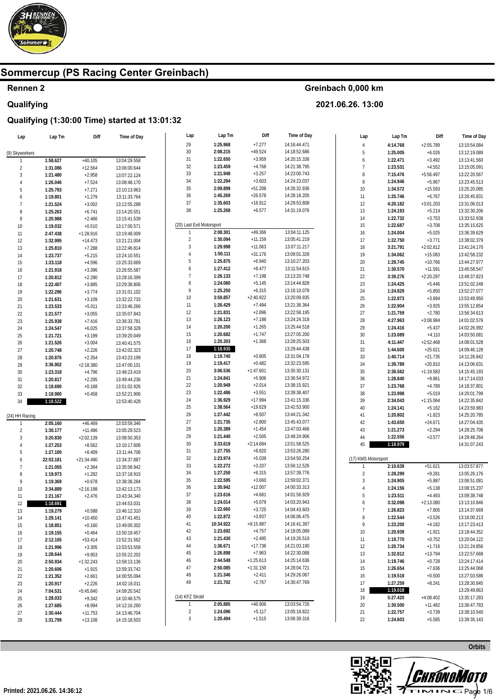

### Rennen 2 Qualifying

### Greinbach 0,000 km

2021.06.26. 13:00

| Lap                 | Lap Tm    | Diff                 | Time of Day                  | Lap                       | Lap Tm    | Diff        | Time of Day  | Lap                 | Lap Tm               | Diff                  | Time of Day  |
|---------------------|-----------|----------------------|------------------------------|---------------------------|-----------|-------------|--------------|---------------------|----------------------|-----------------------|--------------|
|                     |           |                      |                              | 29                        | 1:25.968  | $+7.277$    | 14:16:44.471 | $\overline{4}$      | 4:14.768             | $+2:55.789$           | 13:10:54.084 |
| (9) Skyworkers      |           |                      |                              | $30\,$                    | 2:08.215  | $+49.524$   | 14:18:52.686 | 5                   | 1:25.005             | $+6.026$              | 13:12:19.089 |
|                     | 1:58.627  | $+40.105$            | 13:04:29.558                 | 31                        | 1:22.650  | $+3.959$    | 14:20:15.336 | 6                   | 1:22.471             | $+3.492$              | 13:13:41.560 |
| $\overline{2}$      | 1:31.086  | $+12.564$            | 13:06:00.644                 | 32                        | 1:23.459  | $+4.768$    | 14:21:38.795 | $\overline{7}$      | 1:23.531             | $+4.552$              | 13:15:05.091 |
| 3                   | 1:21.480  | $+2.958$             | 13:07:22.124                 | 33                        | 1:21.948  | $+3.257$    | 14:23:00.743 | 8                   | 7:15.476             | $+5:56.497$           | 13:22:20.567 |
| $\overline{4}$      | 1:26.046  | $+7.524$             | 13:08:48.170                 | 34                        | 1:22.294  | $+3.603$    | 14:24:23.037 | 9                   | 1:24.946             | $+5.967$              | 13:23:45.513 |
| 5                   | 1:25.793  | $+7.271$             | 13:10:13.963                 | 35                        | 2:09.899  | $+51.208$   | 14:26:32.936 | 10                  | 1:34.572             | $+15.593$             | 13:25:20.085 |
| 6                   | 1:19.801  | $+1.279$             | 13:11:33.764                 | 36                        | 1:45.269  | $+26.578$   | 14:28:18.205 | 11                  | 1:25.746             | $+6.767$              | 13:26:45.831 |
| $\overline{7}$      | 1:21.524  | $+3.002$             | 13:12:55.288                 | 37                        | 1:35.603  | $+16.912$   | 14:29:53.808 | 12                  | 4:20.182             | $+3:01.203$           | 13:31:06.013 |
| 8                   | 1:25.263  | $+6.741$             | 13:14:20.551                 | 38                        | 1:25.268  | $+6.577$    | 14:31:19.076 | 13                  | 1:24.193             | $+5.214$              | 13:32:30.206 |
| 9                   | 1:20.988  | $+2.466$             | 13:15:41.539                 |                           |           |             |              | 14                  | 1:22.732             | $+3.753$              | 13:33:52.938 |
| 10                  | 1:19.032  | $+0.510$             | 13:17:00.571                 | (20) Last Exit Motorsport |           |             |              | 15                  | 1:22.687             | $+3.708$              | 13:35:15.625 |
| 11                  | 2:47.438  | $+1:28.916$          | 13:19:48.009                 | $\mathbf{1}$              | 2:08.301  | $+49.366$   | 13:04:11.125 | 16                  | 1:24.004             | $+5.025$              | 13:36:39.629 |
| 12                  | 1:32.995  | $+14.473$            | 13:21:21.004                 | $\overline{2}$            | 1:30.094  | $+11.159$   | 13:05:41.219 | 17                  | 1:22.750             | $+3.771$              | 13:38:02.379 |
| 13                  | 1:25.810  | $+7.288$             | 13:22:46.814                 | 3                         | 1:29.998  | $+11.063$   | 13:07:11.217 | $18\,$              | 3:21.791             | $+2:02.812$           | 13:41:24.170 |
| 14                  | 1:23.737  | $+5.215$             | 13:24:10.551                 | 4                         | 1:50.111  | $+31.176$   | 13:09:01.328 | 19                  | 1:34.062             | $+15.083$             | 13:42:58.232 |
| 15                  | 1:23.118  | $+4.596$             | 13:25:33.669                 | 5                         | 1:25.875  | $+6.940$    | 13:10:27.203 | $20\,$              | 1:29.745             | $+10.766$             | 13:44:27.977 |
| 16                  | 1:21.918  | $+3.396$             | 13:26:55.587                 | 6                         | 1:27.412  | $+8.477$    | 13:11:54.615 | 21                  | 1:30.570             | $+11.591$             | 13:45:58.547 |
| 17                  | 1:20.812  | $+2.290$             | 13:28:16.399                 | $\overline{7}$            | 1:26.133  | $+7.198$    | 13:13:20.748 | $22\,$              | 3:39.276             | $+2:20.297$           | 13:49:37.823 |
| 18                  | 1:22.407  | $+3.885$             | 13:29:38.806                 | 8                         | 1:24.080  | $+5.145$    | 13:14:44.828 | 23                  | 1:24.425             | $+5.446$              | 13:51:02.248 |
| 19                  | 1:22.296  | $+3.774$             | 13:31:01.102                 | 9                         | 1:25.250  | $+6.315$    | 13:16:10.078 | 24                  | 1:24.829             | $+5.850$              | 13:52:27.077 |
| 20                  | 1:21.631  | $+3.109$             |                              | 10                        | 3:59.857  | $+2:40.922$ | 13:20:09.935 | 25                  | 1:22.873             | $+3.894$              | 13:53:49.950 |
| 21                  | 1:23.533  | $+5.011$             | 13:32:22.733<br>13:33:46.266 | 11                        | 1:26.429  | $+7.494$    | 13:21:36.364 | $26\,$              | 1:22.904             | $+3.925$              | 13:55:12.854 |
| 22                  |           |                      |                              | 12                        | 1:21.831  | $+2.896$    | 13:22:58.195 | 27                  | 1:21.759             | $+2.780$              | 13:56:34.613 |
|                     | 1:21.577  | $+3.055$             | 13:35:07.843                 | 13                        | 1:26.123  | $+7.188$    | 13:24:24.318 | 28                  | 4:27.963             | $+3:08.984$           | 14:01:02.576 |
| 23                  | 1:25.938  | $+7.416$             | 13:36:33.781<br>13:37:58.328 | 14                        | 1:20.200  | $+1.265$    | 13:25:44.518 | 29                  | 1:24.416             | $+5.437$              | 14:02:26.992 |
| 24                  | 1:24.547  | $+6.025$             |                              | 15                        | 1:20.682  | $+1.747$    | 13:27:05.200 | $30\,$              | 1:23.089             | $+4.110$              | 14:03:50.081 |
| 25                  | 1:21.721  | $+3.199$<br>$+3.004$ | 13:39:20.049<br>13:40:41.575 | 16                        | 1:20.303  | $+1.368$    | 13:28:25.503 | 31                  | 4:11.447             | $+2:52.468$           | 14:08:01.528 |
| 26                  | 1:21.526  |                      |                              | 17                        | 1:18.935  |             | 13:29:44.438 | 32                  | 1:44.600             | $+25.621$             | 14:09:46.128 |
| 27                  | 1:20.748  | $+2.226$             | 13:42:02.323                 | 18                        | 1:19.740  | $+0.805$    | 13:31:04.178 | 33                  | 1:40.714             | $+21.735$             | 14:11:26.842 |
| 28                  | 1:20.876  | $+2.354$             | 13:43:23.199                 | 19                        | 1:19.417  | $+0.482$    | 13:32:23.595 | 34                  | 1:39.789             | $+20.810$             | 14:13:06.631 |
| 29                  | 3:36.902  | $+2:18.380$          | 13:47:00.101                 | 20                        | 3:06.536  | $+1:47.601$ | 13:35:30.131 | 35                  | 2:38.562             | $+1:19.583$           | 14:15:45.193 |
| $30\,$              | 1:23.318  | $+4.796$             | 13:48:23.419                 | 21                        | 1:24.841  | $+5.906$    | 13:36:54.972 | 36                  | 1:28.840             | $+9.861$              | 14:17:14.033 |
| 31                  | 1:20.817  | $+2.295$             | 13:49:44.236                 | 22                        | 1:20.949  | $+2.014$    | 13:38:15.921 | 37                  | 1:23.768             | $+4.789$              | 14:18:37.801 |
| 32                  | 1:18.690  | $+0.168$             | 13:51:02.926                 | 23                        | 1:22.486  | $+3.551$    | 13:39:38.407 | 38                  | 1:23.998             | $+5.019$              | 14:20:01.799 |
| 33                  | 1:18.980  | $+0.458$             | 13:52:21.906                 | 24                        | 1:36.929  | $+17.994$   | 13:41:15.336 | 39                  | 2:34.043             | $+1:15.064$           | 14:22:35.842 |
| 34                  | 1:18.522  |                      | 13:53:40.428                 | 25                        | 1:38.564  | $+19.629$   | 13:42:53.900 | 40                  |                      |                       | 14:23:59.983 |
|                     |           |                      |                              | 26                        | 1:27.442  | $+8.507$    | 13:44:21.342 | 41                  | 1:24.141<br>1:20.802 | $+5.162$<br>$+1.823$  | 14:25:20.785 |
| (24) HH Racing      |           |                      |                              | 27                        | 1:21.735  | $+2.800$    | 13:45:43.077 | 42                  | 1:43.650             |                       | 14:27:04.435 |
|                     | 2:05.160  | $+46.469$            | 13:03:59.346                 | 28                        | 1:20.389  | $+1.454$    | 13:47:03.466 | 43                  | 1:21.273             | $+24.671$<br>$+2.294$ | 14:28:25.708 |
| $\overline{2}$<br>3 | 1:30.177  | $+11.486$            | 13:05:29.523                 | 29                        | 1:21.440  | $+2.505$    | 13:48:24.906 | 44                  | 1:22.556             | $+3.577$              | 14:29:48.264 |
|                     | 3:20.830  | $+2:02.139$          | 13:08:50.353                 | $30\,$                    | 3:33.619  | $+2:14.684$ | 13:51:58.525 | 45                  | 1:18.979             |                       | 14:31:07.243 |
| 4                   | 1:27.253  | $+8.562$             | 13:10:17.606                 | 31                        | 1:27.755  | $+8.820$    | 13:53:26.280 |                     |                      |                       |              |
| 5                   | 1:27.100  | $+8.409$             | 13:11:44.706                 | 32                        | 1:23.974  | $+5.039$    | 13:54:50.254 | (17) KMS Motorsport |                      |                       |              |
| 6                   | 22:53.181 | $+21:34.490$         | 13:34:37.887                 | 33                        | 1:22.272  | $+3.337$    | 13:56:12.526 |                     | 2:10.639             | $+51.621$             | 13:03:57.877 |
| 7<br>8              | 1:21.055  | $+2.364$             | 13:35:58.942                 | 34                        | 1:27.250  | $+8.315$    | 13:57:39.776 | $\overline{2}$      | 1:28.299             | $+9.281$              | 13:05:26.176 |
| 9                   | 1:19.973  | $+1.282$             | 13:37:18.915                 | 35                        | 1:22.595  | $+3.660$    | 13:59:02.371 | $\mathbf{3}$        | 1:24.905             | $+5.887$              | 13:06:51.081 |
|                     | 1:19.369  | $+0.678$             | 13:38:38.284                 | 36                        | 1:30.942  | $+12.007$   | 14:00:33.313 | $\overline{4}$      |                      | $+5.138$              | 13:08:15.237 |
| 10                  | 3:34.889  | $+2:16.198$          | 13:42:13.173                 | 37                        | 1:23.616  | $+4.681$    | 14:01:56.929 | 5                   | 1:24.156<br>1:23.511 | $+4.493$              | 13:09:38.748 |
| 11                  | 1:21.167  | $+2.476$             | 13:43:34.340                 | 38                        | 1:24.014  | $+5.079$    | 14:03:20.943 | 6                   | 3:32.098             | $+2:13.080$           | 13:13:10.846 |
| 12                  | 1:18.691  |                      | 13:44:53.031                 | 39                        | 1:22.660  | $+3.725$    | 14:04:43.603 | $\overline{7}$      |                      |                       |              |
| 13                  | 1:19.279  | $+0.588$             | 13:46:12.310                 | 40                        | 1:22.872  | $+3.937$    | 14:06:06.475 |                     | 1:26.823             | $+7.805$              | 13:14:37.669 |
| 14                  | 1:29.141  | $+10.450$            | 13:47:41.451                 | 41                        | 10:34.922 | $+9:15.987$ | 14:16:41.397 | 8                   | 1:22.544             | $+3.526$              | 13:16:00.213 |
| 15                  | 1:18.851  | $+0.160$             | 13:49:00.302                 | 42                        | 1:23.692  | $+4.757$    | 14:18:05.089 | 9                   | 1:23.200             | $+4.182$              | 13:17:23.413 |
| 16                  | 1:19.155  | $+0.464$             | 13:50:19.457                 | 43                        | 1:21.430  | $+2.495$    | 14:19:26.519 | 10                  | 1:20.939             | $+1.921$              | 13:18:44.352 |
| 17                  | 2:12.105  | $+53.414$            | 13:52:31.562                 |                           | 1:36.671  |             | 14:21:03.190 | 11                  | 1:19.770             | $+0.752$              | 13:20:04.122 |
| 18                  | 1:21.996  | $+3.305$             | 13:53:53.558                 | 44                        |           | $+17.736$   |              | 12                  | 1:20.734             | $+1.716$              | 13:21:24.856 |
| 19                  | 1:28.644  | $+9.953$             | 13:55:22.202                 | 45                        | 1:26.898  | $+7.963$    | 14:22:30.088 | 13                  | 1:32.812             | $+13.794$             | 13:22:57.668 |
| 20                  | 2:50.934  | +1:32.243            | 13:58:13.136                 | 46                        | 2:44.548  | $+1:25.613$ | 14:25:14.636 | 14                  | 1:19.746             | $+0.728$              | 13:24:17.414 |
| 21                  | 1:20.606  | $+1.915$             | 13:59:33.742                 | 47                        | 2:50.085  | $+1:31.150$ | 14:28:04.721 | 15                  | 1:26.654             | $+7.636$              | 13:25:44.068 |
| 22                  | 1:21.352  | $+2.661$             | 14:00:55.094                 | 48                        | 1:21.346  | $+2.411$    | 14:29:26.067 | 16                  | 1:19.518             | $+0.500$              | 13:27:03.586 |
| 23                  | 1:20.917  | $+2.226$             | 14:02:16.011                 | 49                        | 1:21.702  | $+2.767$    | 14:30:47.769 | 17                  | 1:27.259             | $+8.241$              | 13:28:30.845 |
| 24                  | 7:04.531  | $+5:45.840$          | 14:09:20.542                 |                           |           |             |              | 18                  | 1:19.018             |                       | 13:29:49.863 |
| 25                  | 1:28.033  | $+9.342$             | 14:10:48.575                 | (14) KFZ Strobl           |           |             |              | 19                  | 5:27.420             | $+4:08.402$           | 13:35:17.283 |
| 26                  | 1:27.685  | $+8.994$             | 14:12:16.260                 |                           | 2:05.885  | $+46.906$   | 13:03:54.726 | 20                  | 1:30.500             | $+11.482$             | 13:36:47.783 |
| 27                  | 1:30.444  | $+11.753$            | 14:13:46.704                 | $\overline{2}$            | 1:24.096  | $+5.117$    | 13:05:18.822 | 21                  | 1:22.757             | $+3.739$              | 13:38:10.540 |
| 28                  | 1:31.799  | $+13.108$            | 14:15:18.503                 | 3                         | 1:20.494  | $+1.515$    | 13:06:39.316 | 22                  | 1:24.603             | $+5.585$              | 13:39:35.143 |

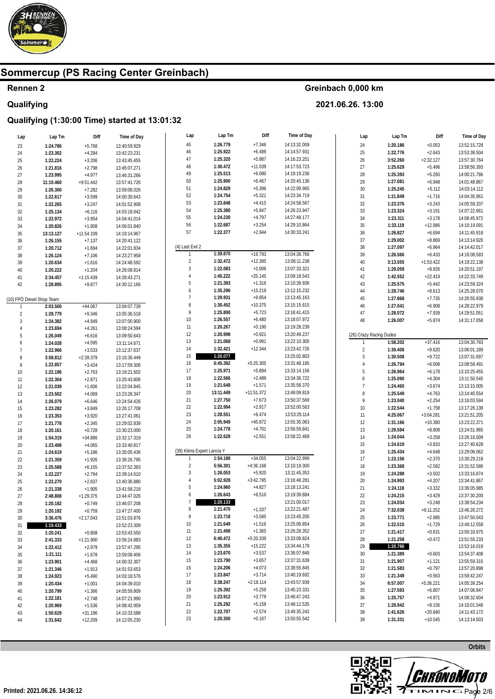

## Rennen 2 Qualifying

#### Greinbach 0,000 km

2021.06.26. 13:00

| Lap                       | Lap Tm    | Diff         | Time of Day  | Lap                        | Lap Tm    | Diff         | Time of Day  | Lap            | Lap Tm                  | Diff        | Time of Day  |
|---------------------------|-----------|--------------|--------------|----------------------------|-----------|--------------|--------------|----------------|-------------------------|-------------|--------------|
| 23                        | 1:24.786  | $+5.768$     | 13:40:59.929 | 45                         | 1:26.779  | $+7.346$     | 14:13:32.009 | 24             | 1:20.186                | $+0.053$    | 13:52:15.728 |
| 24                        | 1:23.302  | $+4.284$     | 13:42:23.231 | 46                         | 1:25.922  | $+6.489$     | 14:14:57.931 | 25             | 1:22.776                | $+2.643$    | 13:53:38.504 |
| 25                        | 1:22.224  | $+3.206$     | 13:43:45.455 | 47                         | 1:25.320  | $+5.887$     | 14:16:23.251 | 26             | 3:52.260                | $+2:32.127$ | 13:57:30.764 |
| $26\,$                    | 1:21.816  | $+2.798$     |              | 48                         | 1:30.472  | $+11.039$    | 14:17:53.723 | 27             | 1:25.629                | $+5.496$    | 13:58:56.393 |
|                           |           |              | 13:45:07.271 | 49                         | 1:25.513  | $+6.080$     | 14:19:19.236 | 28             | 1:25.393                | $+5.260$    | 14:00:21.786 |
| 27                        | 1:23.995  | $+4.977$     | 13:46:31.266 | 50                         | 1:25.900  | $+6.467$     | 14:20:45.136 | 29             |                         |             | 14:01:48.867 |
| 28                        | 11:10.460 | $+9:51.442$  | 13:57:41.726 | 51                         | 1:24.829  | $+5.396$     | 14:22:09.965 |                | 1:27.081                | $+6.948$    |              |
| 29                        | 1:26.300  | $+7.282$     | 13:59:08.026 |                            | 1:24.754  |              |              | $30\,$         | 1:25.245                | $+5.112$    | 14:03:14.112 |
| $30\,$                    | 1:22.617  | $+3.599$     | 14:00:30.643 | 52                         |           | $+5.321$     | 14:23:34.719 | 31             | 1:21.849                | $+1.716$    | 14:04:35.961 |
| 31                        | 1:22.265  | $+3.247$     | 14:01:52.908 | 53                         | 1:23.848  | $+4.415$     | 14:24:58.567 | 32             | 1:23.376                | $+3.243$    | 14:05:59.337 |
| 32                        | 1:25.134  | $+6.116$     | 14:03:18.042 | 54                         | 1:25.380  | $+5.947$     | 14:26:23.947 | 33             | 1:23.324                | $+3.191$    | 14:07:22.661 |
| 33                        | 1:22.972  | $+3.954$     | 14:04:41.014 | 55                         | 1:24.230  | $+4.797$     | 14:27:48.177 | 34             | 1:23.311                | $+3.178$    | 14:08:45.972 |
| 34                        | 1:20.826  | $+1.808$     | 14:06:01.840 | 56                         | 1:22.687  | $+3.254$     | 14:29:10.864 | 35             | 1:33.119                | $+12.986$   | 14:10:19.091 |
| 35                        | 13:13.127 | $+11:54.109$ | 14:19:14.967 | 57                         | 1:22.377  | $+2.944$     | 14:30:33.241 | 36             | 1:26.827                | $+6.694$    | 14:11:45.918 |
| 36                        | 1:26.155  | $+7.137$     | 14:20:41.122 |                            |           |              |              | 37             | 1:29.002                | $+8.869$    | 14:13:14.920 |
| 37                        | 1:20.712  | $+1.694$     | 14:22:01.834 | (4) Last Exit 2            |           |              |              | 38             | 1:27.097                | $+6.964$    | 14:14:42.017 |
| $38\,$                    | 1:26.124  | $+7.106$     | 14:23:27.958 |                            | 1:39.870  | $+19.793$    | 13:04:38.766 | 39             | 1:26.566                | $+6.433$    | 14:16:08.583 |
| 39                        | 1:20.634  | $+1.616$     | 14:24:48.592 | $\overline{2}$             | 1:32.472  | $+12.395$    | 13:06:11.238 | $40\,$         | 3:13.555                | $+1:53.422$ | 14:19:22.138 |
| $40\,$                    | 1:20.222  | $+1.204$     | 14:26:08.814 | $\mathbf{3}$               | 1:22.083  | $+2.006$     | 13:07:33.321 | 41             | 1:29.059                | $+8.926$    | 14:20:51.197 |
| $41\,$                    | 2:34.457  | $+1:15.439$  | 14:28:43.271 | 4                          | 1:45.222  | $+25.145$    | 13:09:18.543 | 42             | 1:42.552                | $+22.419$   | 14:22:33.749 |
| 42                        | 1:28.895  | $+9.877$     | 14:30:12.166 | 5                          | 1:21.393  | $+1.316$     | 13:10:39.936 | 43             | 1:25.575                | $+5.442$    | 14:23:59.324 |
|                           |           |              |              | 6                          | 1:35.296  | $+15.219$    | 13:12:15.232 | 44             | 1:28.746                | $+8.613$    | 14:25:28.070 |
| (10) FPÖ Diesel Shop Team |           |              |              | $\overline{7}$             | 1:29.931  | $+9.854$     | 13:13:45.163 | 45             | 1:27.868                | $+7.735$    | 14:26:55.938 |
| $\mathbf{1}$              | 2:03.500  | $+44.067$    | 13:04:07.739 | 8                          | 1:30.452  | $+10.375$    | 13:15:15.615 | 46             | 1:27.041                | $+6.908$    | 14:28:22.979 |
| $\overline{c}$            | 1:28.779  | $+9.346$     | 13:05:36.518 | 9                          | 1:25.800  | $+5.723$     | 13:16:41.415 | 47             | 1:28.072                | $+7.939$    | 14:29:51.051 |
| 3                         | 1:24.382  | $+4.949$     | 13:07:00.900 | $10\,$                     | 1:26.557  | $+6.480$     | 13:18:07.972 | 48             | 1:26.007                | $+5.874$    | 14:31:17.058 |
| $\overline{4}$            | 1:23.694  | $+4.261$     | 13:08:24.594 | 11                         | 1:20.267  | $+0.190$     | 13:19:28.239 |                |                         |             |              |
| 5                         | 1:26.049  | $+6.616$     | 13:09:50.643 | 12                         | 1:20.998  | $+0.921$     | 13:20:49.237 |                | (26) Crazy Racing Dudes |             |              |
| 6                         | 1:24.028  | $+4.595$     | 13:11:14.671 | 13                         | 1:21.068  | $+0.991$     | 13:22:10.305 | $\mathbf{1}$   | 1:58.202                | $+37.416$   | 13:04:30.783 |
| $\overline{7}$            | 1:22.966  | $+3.533$     | 13:12:37.637 | 14                         | 1:32.421  | $+12.344$    | 13:23:42.726 | $\sqrt{2}$     | 1:30.406                | $+9.620$    | 13:06:01.189 |
| 8                         | 3:58.812  | $+2:39.379$  | 13:16:36.449 | 15                         | 1:20.077  |              | 13:25:02.803 | 3              | 1:30.508                | $+9.722$    | 13:07:31.697 |
| 9                         | 1:22.857  | $+3.424$     | 13:17:59.306 | 16                         | 6:45.382  | $+5:25.305$  | 13:31:48.185 | $\overline{4}$ | 1:26.794                | $+6.008$    | 13:08:58.491 |
| $10$                      | 1:22.196  | $+2.763$     | 13:19:21.502 | 17                         | 1:25.971  | $+5.894$     | 13:33:14.156 | 5              | 1:26.964                | $+6.178$    | 13:10:25.455 |
| 11                        | 1:22.304  | $+2.871$     | 13:20:43.806 | 18                         | 1:22.566  | $+2.489$     | 13:34:36.722 | 6              | 1:25.090                | $+4.304$    | 13:11:50.545 |
| 12                        | 1:21.039  | $+1.606$     | 13:22:04.845 | 19                         | 1:21.648  | $+1.571$     | 13:35:58.370 | $\overline{7}$ | 1:24.460                | $+3.674$    | 13:13:15.005 |
| $13\,$                    | 1:23.502  | $+4.069$     | 13:23:28.347 | $20\,$                     | 13:11.449 | $+11:51.372$ | 13:49:09.819 | 8              | 1:25.549                | $+4.763$    | 13:14:40.554 |
|                           |           |              |              | 21                         | 1:27.750  | $+7.673$     | 13:50:37.569 | 9              | 1:23.040                | $+2.254$    | 13:16:03.594 |
| $14\,$                    | 1:26.079  | $+6.646$     | 13:24:54.426 | $22\,$                     | 1:22.994  | $+2.917$     | 13:52:00.563 | $10\,$         | 1:22.544                | $+1.758$    | 13:17:26.138 |
| 15                        | 1:23.282  | $+3.849$     | 13:26:17.708 | 23                         | 1:28.551  | $+8.474$     | 13:53:29.114 | 11             | 4:25.067                | $+3:04.281$ | 13:21:51.205 |
| 16                        | 1:23.353  | $+3.920$     | 13:27:41.061 | 24                         | 2:05.949  | $+45.872$    | 13:55:35.063 | 12             | 1:31.166                | $+10.380$   | 13:23:22.371 |
| 17                        | 1:21.778  | $+2.345$     | 13:29:02.839 | 25                         | 1:24.778  | $+4.701$     | 13:56:59.841 | 13             |                         |             | 13:24:51.965 |
| $18\,$                    | 1:20.161  | $+0.728$     | 13:30:23.000 | 26                         | 1:22.628  | $+2.551$     | 13:58:22.469 |                | 1:29.594                | $+8.808$    |              |
| 19                        | 1:54.319  | $+34.886$    | 13:32:17.319 |                            |           |              |              | 14             | 1:24.044                | $+3.258$    | 13:26:16.009 |
| $20\,$                    | 1:23.498  | $+4.065$     | 13:33:40.817 | (39) Klima Expert Lancia Y |           |              |              | 15             | 1:24.619                | $+3.833$    | 13:27:40.628 |
| 21                        | 1:24.619  | $+5.186$     | 13:35:05.436 | $\mathbf{1}$               | 1:54.188  | $+34.055$    | 13:04:22.999 | 16             | 1:25.434                | $+4.648$    | 13:29:06.062 |
| $22\,$                    | 1:21.359  | $+1.926$     | 13:36:26.795 |                            |           |              |              | 17             | 1:23.156                | $+2.370$    | 13:30:29.218 |
| 23                        | 1:25.588  | $+6.155$     | 13:37:52.383 | $\overline{2}$             | 5:56.301  | $+4:36.168$  | 13:10:19.300 | $18\,$         | 1:23.368                | $+2.582$    | 13:31:52.586 |
| 24                        | 1:22.227  | $+2.794$     | 13:39:14.610 | 3                          | 1:26.053  | $+5.920$     | 13:11:45.353 | $19\,$         | 1:24.288                | $+3.502$    | 13:33:16.874 |
| 25                        | 1:22.270  | $+2.837$     | 13:40:36.880 | 4                          | 5:02.928  | $+3:42.795$  | 13:16:48.281 | $20\,$         | 1:24.993                | $+4.207$    | 13:34:41.867 |
| 26                        | 1:21.338  | $+1.905$     | 13:41:58.218 | 5                          | 1:24.960  | $+4.827$     | 13:18:13.241 | 21             | 1:24.118                | $+3.332$    | 13:36:05.985 |
| 27                        | 2:48.808  | $+1:29.375$  | 13:44:47.026 | 6                          | 1:26.643  | $+6.510$     | 13:19:39.884 | 22             | 1:24.215                | $+3.429$    | 13:37:30.200 |
| 28                        | 1:20.182  | $+0.749$     | 13:46:07.208 | $\overline{7}$             | 1:20.133  |              | 13:21:00.017 | 23             | 1:24.034                | $+3.248$    | 13:38:54.234 |
| 29                        | 1:20.192  | $+0.759$     | 13:47:27.400 | 8                          | 1:21.470  | $+1.337$     | 13:22:21.487 | 24             | 7:32.038                | $+6:11.252$ | 13:46:26.272 |
| 30                        | 3:36.476  | $+2:17.043$  | 13:51:03.876 | 9                          | 1:23.718  | $+3.585$     | 13:23:45.205 | 25             | 1:23.771                | $+2.985$    | 13:47:50.043 |
| 31                        | 1:19.433  |              | 13:52:23.309 | 10                         | 1:21.649  | $+1.516$     | 13:25:06.854 | 26             | 1:22.515                | $+1.729$    | 13:49:12.558 |
| $32\,$                    | 1:20.241  | $+0.808$     | 13:53:43.550 | 11                         | 1:21.498  | $+1.365$     | 13:26:28.352 | 27             | 1:21.417                | $+0.631$    | 13:50:33.975 |
| 33                        | 2:41.333  | $+1:21.900$  | 13:56:24.883 | 12                         | 6:40.472  | $+5:20.339$  | 13:33:08.824 | 28             | 1:21.258                | $+0.472$    | 13:51:55.233 |
| 34                        | 1:22.412  | $+2.979$     | 13:57:47.295 | 13                         | 1:35.355  | $+15.222$    | 13:34:44.179 | 29             | 1:20.786                |             | 13:53:16.019 |
| 35                        | 1:21.111  | $+1.678$     | 13:59:08.406 | 14                         | 1:23.670  | $+3.537$     | 13:36:07.849 | $30\,$         | 1:21.389                | $+0.603$    | 13:54:37.408 |
| 36                        | 1:23.901  | $+4.468$     | 14:00:32.307 | 15                         | 1:23.790  | $+3.657$     | 13:37:31.639 | 31             | 1:21.907                | $+1.121$    | 13:55:59.315 |
| 37                        | 1:21.346  | $+1.913$     | 14:01:53.653 | 16                         | 1:24.206  | $+4.073$     | 13:38:55.845 | 32             | 1:21.583                | $+0.797$    | 13:57:20.898 |
| 38                        | 1:24.923  | $+5.490$     | 14:03:18.576 | 17                         | 1:23.847  | $+3.714$     | 13:40:19.692 | 33             | 1:21.349                | $+0.563$    | 13:58:42.247 |
| 39                        | 1:20.434  | $+1.001$     | 14:04:39.010 | 18                         | 3:38.247  | $+2:18.114$  | 13:43:57.939 | 34             | 6:57.007                | $+5:36.221$ | 14:05:39.254 |
| 40                        | 1:20.799  | $+1.366$     | 14:05:59.809 | 19                         | 1:25.392  | $+5.259$     | 13:45:23.331 | 35             | 1:27.593                | $+6.807$    | 14:07:06.847 |
| 41                        | 1:22.181  | $+2.748$     | 14:07:21.990 | 20                         | 1:23.912  | $+3.779$     | 13:46:47.243 | 36             | 1:25.757                | $+4.971$    | 14:08:32.604 |
| 42                        | 1:20.969  | $+1.536$     | 14:08:42.959 | 21                         | 1:25.292  | $+5.159$     | 13:48:12.535 | 37             | 1:28.942                | $+8.156$    | 14:10:01.546 |
| 43                        | 1:50.629  | $+31.196$    | 14:10:33.588 | 22                         | 1:22.707  | $+2.574$     | 13:49:35.242 | 38             | 1:41.626                | $+20.840$   | 14:11:43.172 |
| 44                        | 1:31.642  | $+12.209$    | 14:12:05.230 | 23                         | 1:20.300  | $+0.167$     | 13:50:55.542 | 39             | 1:31.331                | $+10.545$   | 14:13:14.503 |
|                           |           |              |              |                            |           |              |              |                |                         |             |              |

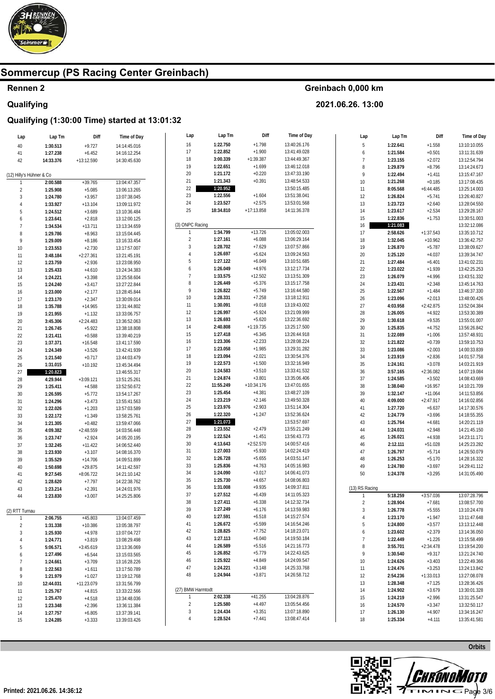

## **Rennen 2 Qualifying**

#### **Greinbach 0,000 km**

**2021.06.26. 13:00** 

| Lap                      | Lap Tm               | Diff                    | Time of Day                  | Lap                             | Lap Tm                | Diff                     | Time of Day                  | Lap                     | Lap Tm               | Diff                    | Time of Day                  |
|--------------------------|----------------------|-------------------------|------------------------------|---------------------------------|-----------------------|--------------------------|------------------------------|-------------------------|----------------------|-------------------------|------------------------------|
| 40                       | 1:30.513             | $+9.727$                | 14:14:45.016                 | 16                              | 1:22.750              | $+1.798$                 | 13:40:26.176                 | $\,$ 5 $\,$             | 1:22.641             | $+1.558$                | 13:10:10.055                 |
| 41                       | 1:27.238             | $+6.452$                | 14:16:12.254                 | 17                              | 1:22.852              | $+1.900$                 | 13:41:49.028                 | 6                       | 1:21.584             | $+0.501$                | 13:11:31.639                 |
| 42                       | 14:33.376            | $+13:12.590$            | 14:30:45.630                 | 18                              | 3:00.339              | $+1:39.387$              | 13:44:49.367                 | $\overline{7}$          | 1:23.155             | $+2.072$                | 13:12:54.794                 |
|                          |                      |                         |                              | 19                              | 1:22.651              | $+1.699$                 | 13:46:12.018                 | 8                       | 1:29.879             | $+8.796$                | 13:14:24.673                 |
| (12) Hilly's Hühner & Co |                      |                         |                              | 20                              | 1:21.172              | $+0.220$                 | 13:47:33.190                 | 9                       | 1:22.494             | $+1.411$                | 13:15:47.167                 |
|                          | 2:00.588             | $+39.765$               | 13:04:47.357                 | 21                              | 1:21.343              | $+0.391$                 | 13:48:54.533                 | $10$                    | 1:21.268             | $+0.185$                | 13:17:08.435                 |
| $\overline{2}$           | 1:25.908             | $+5.085$                | 13:06:13.265                 | 22                              | 1:20.952              |                          | 13:50:15.485                 | 11                      | 8:05.568             | $+6:44.485$             | 13:25:14.003                 |
| 3                        | 1:24.780             | $+3.957$                | 13:07:38.045                 | $23\,$                          | 1:22.556              | $+1.604$                 | 13:51:38.041                 | 12                      | 1:26.824             | $+5.741$                | 13:26:40.827                 |
|                          | 1:33.927             | $+13.104$               | 13:09:11.972                 | 24                              | 1:23.527              | $+2.575$                 | 13:53:01.568                 | 13                      | 1:23.723             | $+2.640$                | 13:28:04.550                 |
| 5                        | 1:24.512             | $+3.689$                | 13:10:36.484                 | 25                              | 18:34.810             | $+17:13.858$             | 14:11:36.378                 | 14                      | 1:23.617             | $+2.534$                | 13:29:28.167                 |
| 6                        | 1:23.641             | $+2.818$                | 13:12:00.125                 |                                 |                       |                          |                              | 15                      | 1:22.836             | $+1.753$                | 13:30:51.003                 |
| $\overline{7}$           | 1:34.534             | $+13.711$               | 13:13:34.659                 | (3) ONPC Racing<br>$\mathbf{1}$ | 1:34.799              | $+13.726$                | 13:05:02.003                 | 16                      | 1:21.083             |                         | 13:32:12.086                 |
| 8                        | 1:29.786             | $+8.963$                | 13:15:04.445                 | $\sqrt{2}$                      | 1:27.161              | $+6.088$                 | 13:06:29.164                 | $17\,$                  | 2:58.626             | $+1:37.543$             | 13:35:10.712                 |
| 9                        | 1:29.009             | $+8.186$                | 13:16:33.454                 | $\sqrt{3}$                      | 1:28.702              | $+7.629$                 | 13:07:57.866                 | $18\,$<br>19            | 1:32.045<br>1:26.870 | $+10.962$<br>$+5.787$   | 13:36:42.757<br>13:38:09.627 |
| 10                       | 1:23.553             | $+2.730$                | 13:17:57.007                 | $\overline{4}$                  | 1:26.697              | $+5.624$                 | 13:09:24.563                 | $20\,$                  | 1:25.120             | $+4.037$                | 13:39:34.747                 |
| 11<br>12                 | 3:48.184<br>1:23.759 | $+2:27.361$<br>$+2.936$ | 13:21:45.191<br>13:23:08.950 | 5                               | 1:27.122              | $+6.049$                 | 13:10:51.685                 | 21                      | 1:27.484             | $+6.401$                | 13:41:02.231                 |
| 13                       | 1:25.433             | $+4.610$                | 13:24:34.383                 | 6                               | 1:26.049              | $+4.976$                 | 13:12:17.734                 | $22\,$                  | 1:23.022             | $+1.939$                | 13:42:25.253                 |
| 14                       | 1:24.221             | $+3.398$                | 13:25:58.604                 | $\overline{7}$                  | 1:33.575              | $+12.502$                | 13:13:51.309                 | 23                      | 1:26.079             | $+4.996$                | 13:43:51.332                 |
| 15                       | 1:24.240             | $+3.417$                | 13:27:22.844                 | $\, 8$                          | 1:26.449              | $+5.376$                 | 13:15:17.758                 | 24                      | 1:23.431             | $+2.348$                | 13:45:14.763                 |
| 16                       | 1:23.000             | $+2.177$                | 13:28:45.844                 | 9                               | 1:26.822              | $+5.749$                 | 13:16:44.580                 | 25                      | 1:22.567             | $+1.484$                | 13:46:37.330                 |
| 17                       | 1:23.170             | $+2.347$                | 13:30:09.014                 | $10\,$                          | 1:28.331              | $+7.258$                 | 13:18:12.911                 | $26\,$                  | 1:23.096             | $+2.013$                | 13:48:00.426                 |
| 18                       | 1:35.788             | $+14.965$               | 13:31:44.802                 | 11                              | 1:30.091              | $+9.018$                 | 13:19:43.002                 | $27\,$                  | 4:03.958             | $+2:42.875$             | 13:52:04.384                 |
| 19                       | 1:21.955             | $+1.132$                | 13:33:06.757                 | 12                              | 1:26.997              | $+5.924$                 | 13:21:09.999                 | $28\,$                  | 1:26.005             | $+4.922$                | 13:53:30.389                 |
| 20                       | 3:45.306             | $+2:24.483$             | 13:36:52.063                 | 13                              | 1:26.693              | $+5.620$                 | 13:22:36.692                 | 29                      | 1:30.618             | $+9.535$                | 13:55:01.007                 |
| 21                       | 1:26.745             | $+5.922$                | 13:38:18.808                 | 14                              | 2:40.808              | $+1:19.735$              | 13:25:17.500                 | $30\,$                  | 1:25.835             | $+4.752$                | 13:56:26.842                 |
| 22                       | 1:21.411             | $+0.588$                | 13:39:40.219                 | 15                              | 1:27.418              | $+6.345$                 | 13:26:44.918                 | 31                      | 1:22.089             | $+1.006$                | 13:57:48.931                 |
| 23                       | 1:37.371             | $+16.548$               | 13:41:17.590                 | 16                              | 1:23.306              | $+2.233$                 | 13:28:08.224                 | $32\,$                  | 1:21.822             | $+0.739$                | 13:59:10.753                 |
| 24                       | 1:24.349             | $+3.526$                | 13:42:41.939                 | 17                              | 1:23.058              | $+1.985$                 | 13:29:31.282                 | 33                      | 1:23.086             | $+2.003$                | 14:00:33.839                 |
| 25                       | 1:21.540             | $+0.717$                | 13:44:03.479                 | $18\,$                          | 1:23.094              | $+2.021$                 | 13:30:54.376                 | 34                      | 1:23.919             | $+2.836$                | 14:01:57.758                 |
| 26                       | 1:31.015             | $+10.192$               | 13:45:34.494                 | 19                              | 1:22.573              | $+1.500$                 | 13:32:16.949                 | $35\,$                  | 1:24.161             | $+3.078$                | 14:03:21.919                 |
| 27                       | 1:20.823             |                         | 13:46:55.317                 | $20\,$                          | 1:24.583              | $+3.510$                 | 13:33:41.532                 | 36                      | 3:57.165             | $+2:36.082$             | 14:07:19.084                 |
| 28                       | 4:29.944             | $+3:09.121$             | 13:51:25.261                 | 21                              | 1:24.874              | $+3.801$                 | 13:35:06.406                 | 37                      | 1:24.585             | $+3.502$                | 14:08:43.669                 |
| 29                       | 1:25.411             | $+4.588$                | 13:52:50.672                 | 22<br>23                        | 11:55.249<br>1:25.454 | $+10:34.176$<br>$+4.381$ | 13:47:01.655                 | 38                      | 1:38.040             | $+16.957$               | 14:10:21.709                 |
| 30                       | 1:26.595             | $+5.772$                | 13:54:17.267                 | 24                              | 1:23.219              | $+2.146$                 | 13:48:27.109<br>13:49:50.328 | 39                      | 1:32.147             | $+11.064$               | 14:11:53.856                 |
| 31                       | 1:24.296             | $+3.473$                | 13:55:41.563                 | 25                              | 1:23.976              | $+2.903$                 | 13:51:14.304                 | 40                      | 4:09.000             | $+2:47.917$             | 14:16:02.856                 |
| 32                       | 1:22.026             | $+1.203$                | 13:57:03.589                 | $26\,$                          | 1:22.320              | $+1.247$                 | 13:52:36.624                 | 41<br>42                | 1:27.720<br>1:24.779 | $+6.637$<br>$+3.696$    | 14:17:30.576<br>14:18:55.355 |
| 33                       | 1:22.172             | $+1.349$<br>$+0.482$    | 13:58:25.761                 | 27                              | 1:21.073              |                          | 13:53:57.697                 | 43                      | 1:25.764             | $+4.681$                | 14:20:21.119                 |
| 34<br>35                 | 1:21.305<br>4:09.382 | $+2:48.559$             | 13:59:47.066<br>14:03:56.448 | 28                              | 1:23.552              | $+2.479$                 | 13:55:21.249                 | 44                      | 1:24.031             | $+2.948$                | 14:21:45.150                 |
| 36                       | 1:23.747             | $+2.924$                | 14:05:20.195                 | 29                              | 1:22.524              | $+1.451$                 | 13:56:43.773                 | 45                      | 1:26.021             | $+4.938$                | 14:23:11.171                 |
| 37                       | 1:32.245             | $+11.422$               | 14:06:52.440                 | $30\,$                          | 4:13.643              | $+2:52.570$              | 14:00:57.416                 | $46\,$                  | 2:12.111             | $+51.028$               | 14:25:23.282                 |
| 38                       | 1:23.930             | $+3.107$                | 14:08:16.370                 | 31                              | 1:27.003              | $+5.930$                 | 14:02:24.419                 | 47                      | 1:26.797             | $+5.714$                | 14:26:50.079                 |
| 39                       | 1:35.529             | $+14.706$               | 14:09:51.899                 | 32                              | 1:26.728              | $+5.655$                 | 14:03:51.147                 | $48\,$                  | 1:26.253             | $+5.170$                | 14:28:16.332                 |
| 40                       | 1:50.698             | $+29.875$               | 14:11:42.597                 | 33                              | 1:25.836              | $+4.763$                 | 14:05:16.983                 | 49                      | 1:24.780             | $+3.697$                | 14:29:41.112                 |
| 41                       | 9:27.545             | $+8:06.722$             | 14:21:10.142                 | 34                              | 1:24.090              | $+3.017$                 | 14:06:41.073                 | $50\,$                  | 1:24.378             | $+3.295$                | 14:31:05.490                 |
| 42                       | 1:28.620             | $+7.797$                | 14:22:38.762                 | $35\,$                          | 1:25.730              | $+4.657$                 | 14:08:06.803                 |                         |                      |                         |                              |
| 43                       | 1:23.214             | $+2.391$                | 14:24:01.976                 | 36                              | 1:31.008              | $+9.935$                 | 14:09:37.811                 | (13) RS Racing          |                      |                         |                              |
| 44                       | 1:23.830             | $+3.007$                | 14:25:25.806                 | 37                              | 1:27.512              | $+6.439$                 | 14:11:05.323                 |                         | 5:18.259             | $+3:57.036$             | 13:07:28.796                 |
|                          |                      |                         |                              | 38                              | 1:27.411              | $+6.338$                 | 14:12:32.734                 | $\overline{\mathbf{c}}$ | 1:28.904             | $+7.681$                | 13:08:57.700                 |
| (2) RTT Turnau           |                      |                         |                              | 39                              | 1:27.249              | $+6.176$                 | 14:13:59.983                 | 3                       | 1:26.778             | $+5.555$                | 13:10:24.478                 |
| $\mathbf{1}$             | 2:06.755             | $+45.803$               | 13:04:07.459                 | 40                              | 1:27.591              | $+6.518$                 | 14:15:27.574                 | $\overline{4}$          | 1:23.170             | $+1.947$                | 13:11:47.648                 |
| $\sqrt{2}$               | 1:31.338             | $+10.386$               | 13:05:38.797                 | 41                              | 1:26.672<br>1:28.825  | $+5.599$                 | 14:16:54.246                 | 5                       | 1:24.800             | $+3.577$                | 13:13:12.448                 |
| 3                        | 1:25.930             | $+4.978$                | 13:07:04.727                 | 42<br>43                        | 1:27.113              | $+7.752$<br>$+6.040$     | 14:18:23.071<br>14:19:50.184 | 6                       | 1:23.602             | $+2.379$                | 13:14:36.050                 |
| 4                        | 1:24.771             | $+3.819$                | 13:08:29.498                 | 44                              | 1:26.589              | $+5.516$                 | 14:21:16.773                 | $\overline{7}$<br>8     | 1:22.449<br>3:55.701 | $+1.226$<br>$+2:34.478$ | 13:15:58.499<br>13:19:54.200 |
| 5                        | 5:06.571             | $+3:45.619$             | 13:13:36.069                 | 45                              | 1:26.852              | $+5.779$                 | 14:22:43.625                 | 9                       |                      | $+9.317$                | 13:21:24.740                 |
| 6<br>7                   | 1:27.496<br>1:24.661 | $+6.544$<br>$+3.709$    | 13:15:03.565<br>13:16:28.226 | 46                              | 1:25.922              | $+4.849$                 | 14:24:09.547                 | 10                      | 1:30.540<br>1:24.626 | $+3.403$                | 13:22:49.366                 |
| 8                        | 1:22.563             | $+1.611$                | 13:17:50.789                 | 47                              | 1:24.221              | $+3.148$                 | 14:25:33.768                 | 11                      | 1:24.476             | $+3.253$                | 13:24:13.842                 |
| 9                        | 1:21.979             | $+1.027$                | 13:19:12.768                 | 48                              | 1:24.944              | $+3.871$                 | 14:26:58.712                 | 12                      | 2:54.236             | $+1:33.013$             | 13:27:08.078                 |
| 10                       | 12:44.031            | $+11:23.079$            | 13:31:56.799                 |                                 |                       |                          |                              | 13                      | 1:28.348             | $+7.125$                | 13:28:36.426                 |
| 11                       | 1:25.767             | $+4.815$                | 13:33:22.566                 | (27) BMW Harmtodt               |                       |                          |                              | 14                      | 1:24.902             | $+3.679$                | 13:30:01.328                 |
| 12                       | 1:25.470             | $+4.518$                | 13:34:48.036                 |                                 | 2:02.338              | $+41.255$                | 13:04:28.876                 | 15                      | 1:24.219             | $+2.996$                | 13:31:25.547                 |
| 13                       | 1:23.348             | $+2.396$                | 13:36:11.384                 | $\overline{2}$                  | 1:25.580              | $+4.497$                 | 13:05:54.456                 | 16                      | 1:24.570             | $+3.347$                | 13:32:50.117                 |
| 14                       | 1:27.757             | $+6.805$                | 13:37:39.141                 | 3                               | 1:24.434              | $+3.351$                 | 13:07:18.890                 | 17                      | 1:26.130             | $+4.907$                | 13:34:16.247                 |
| 15                       | 1:24.285             | $+3.333$                | 13:39:03.426                 | 4                               | 1:28.524              | $+7.441$                 | 13:08:47.414                 | 18                      | 1:25.334             | $+4.111$                | 13:35:41.581                 |
|                          |                      |                         |                              |                                 |                       |                          |                              |                         |                      |                         |                              |

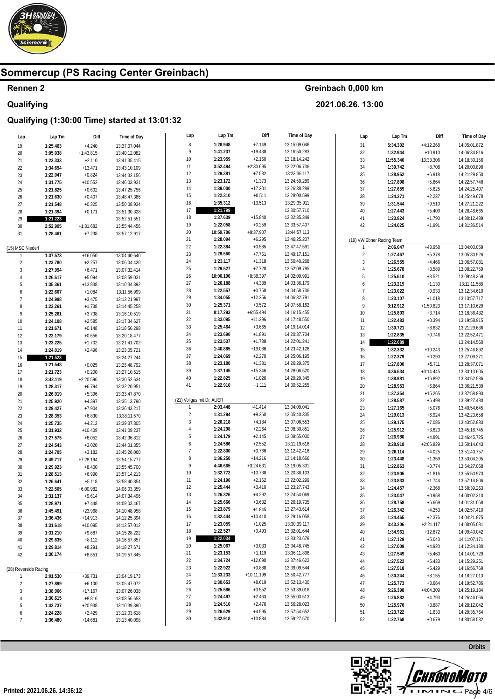

## Rennen 2 Qualifying

### Greinbach 0,000 km

2021.06.26. 13:00

| Lap                   | Lap Tm   | Diff        | Time of Day                  | Lap                                       | Lap Tm               | Diff                 | Time of Day  | Lap            | Lap Tm                    | Diff         | Time of Day                  |
|-----------------------|----------|-------------|------------------------------|-------------------------------------------|----------------------|----------------------|--------------|----------------|---------------------------|--------------|------------------------------|
| 19                    | 1:25.463 | $+4.240$    | 13:37:07.044                 | $\, 8$                                    | 1:28.948             | $+7.149$             | 13:15:09.046 | 31             | 5:34.302                  | $+4:12.268$  | 14:05:01.872                 |
| 20                    | 3:05.038 | $+1:43.815$ | 13:40:12.082                 | 9                                         | 1:41.237             | $+19.438$            | 13:16:50.283 | $32\,$         | 1:32.944                  | $+10.910$    | 14:06:34.816                 |
| 21                    | 1:23.333 | $+2.110$    | 13:41:35.415                 | 10                                        | 1:23.959             | $+2.160$             | 13:18:14.242 | $33\,$         | 11:55.340                 | $+10:33.306$ | 14:18:30.156                 |
| 22                    | 1:34.694 | $+13.471$   | 13:43:10.109                 | 11                                        | 3:52.494             | $+2:30.695$          | 13:22:06.736 | 34             | 1:30.742                  | $+8.708$     | 14:20:00.898                 |
| 23                    | 1:22.047 | $+0.824$    | 13:44:32.156                 | 12                                        | 1:29.381             | $+7.582$             | 13:23:36.117 | 35             | 1:28.952                  | $+6.918$     | 14:21:29.850                 |
| 24                    | 1:31.775 | $+10.552$   | 13:46:03.931                 | 13                                        | 1:23.172             | $+1.373$             | 13:24:59.289 | $36\,$         | 1:27.898                  | $+5.864$     | 14:22:57.748                 |
| 25                    | 1:21.825 | $+0.602$    | 13:47:25.756                 | 14                                        | 1:39.000             | $+17.201$            | 13:26:38.289 | 37             | 1:27.659                  | $+5.625$     | 14:24:25.407                 |
| 26                    | 1:21.630 | $+0.407$    | 13:48:47.386                 | 15                                        | 1:22.310             | $+0.511$             | 13:28:00.599 | $38\,$         | 1:24.271                  | $+2.237$     | 14:25:49.678                 |
| 27                    | 1:21.548 | $+0.325$    | 13:50:08.934                 | 16                                        | 1:35.312             | $+13.513$            | 13:29:35.911 | 39             | 1:31.544                  | $+9.510$     | 14:27:21.222                 |
| 28                    | 1:21.394 | $+0.171$    | 13:51:30.328                 | 17                                        | 1:21.799             |                      | 13:30:57.710 | $40\,$         | 1:27.443                  | $+5.409$     | 14:28:48.665                 |
| 29                    | 1:21.223 |             | 13:52:51.551                 | 18                                        | 1:37.639             | $+15.840$            | 13:32:35.349 | 41             | 1:23.824                  | $+1.790$     | 14:30:12.489                 |
| 30                    | 2:52.905 | $+1:31.682$ | 13:55:44.456                 | 19                                        | 1:22.058             | $+0.259$             | 13:33:57.407 | 42             | 1:24.025                  | $+1.991$     | 14:31:36.514                 |
| $31\,$                | 1:28.461 | $+7.238$    | 13:57:12.917                 | 20                                        | 10:59.706            | $+9:37.907$          | 13:44:57.113 |                |                           |              |                              |
|                       |          |             |                              | 21                                        | 1:28.094             | $+6.295$             | 13:46:25.207 |                | (19) VW Ebner Racing Team |              |                              |
| (15) MSC Niederl      |          |             |                              | 22                                        | 1:22.384             | $+0.585$             | 13:47:47.591 | $\mathbf{1}$   | 2:06.047                  | $+43.958$    | 13:04:03.059                 |
| $\overline{1}$        | 1:37.573 | $+16.050$   | 13:04:40.640                 | 23                                        | 1:29.560             | $+7.761$             | 13:49:17.151 | $\sqrt{2}$     | 1:27.467                  | $+5.378$     | 13:05:30.526                 |
| $\sqrt{2}$            | 1:23.780 | $+2.257$    | 13:06:04.420                 | 24                                        | 1:23.117             | $+1.318$             | 13:50:40.268 | $\sqrt{3}$     | 1:26.555                  | $+4.466$     | 13:06:57.081                 |
| $\sqrt{3}$            | 1:27.994 | $+6.471$    | 13:07:32.414                 | 25                                        | 1:29.527             | $+7.728$             | 13:52:09.795 | $\overline{4}$ | 1:25.678                  | $+3.589$     | 13:08:22.759                 |
| $\overline{4}$        | 1:26.617 | $+5.094$    | 13:08:59.031                 | 26                                        | 10:00.196            | $+8:38.397$          | 14:02:09.991 | 5              | 1:25.610                  | $+3.521$     | 13:09:48.369                 |
| 5                     | 1:35.361 | $+13.838$   |                              | 27                                        | 1:26.188             | $+4.389$             | 14:03:36.179 | 6              | 1:23.219                  | $+1.130$     | 13:11:11.588                 |
| 6                     | 1:22.607 | $+1.084$    | 13:10:34.392<br>13:11:56.999 | 28                                        | 1:22.557             | $+0.758$             | 14:04:58.736 | $\overline{7}$ | 1:23.022                  | $+0.933$     | 13:12:34.610                 |
| $\overline{7}$        | 1:24.998 |             |                              | 29                                        | 1:34.055             | $+12.256$            | 14:06:32.791 | 8              | 1:23.107                  | $+1.018$     | 13:13:57.717                 |
| 8                     |          | $+3.475$    | 13:13:21.997                 | $30\,$                                    | 1:25.371             | $+3.572$             | 14:07:58.162 | 9              | 3:12.912                  | $+1:50.823$  | 13:17:10.629                 |
| 9                     | 1:23.261 | $+1.738$    | 13:14:45.258                 | 31                                        | 8:17.293             | $+6:55.494$          | 14:16:15.455 | $10\,$         | 1:25.803                  | $+3.714$     | 13:18:36.432                 |
|                       | 1:25.261 | $+3.738$    | 13:16:10.519                 | 32                                        | 1:33.095             | $+11.296$            | 14:17:48.550 | 11             | 1:22.483                  | $+0.394$     | 13:19:58.915                 |
| 10                    | 1:24.108 | $+2.585$    | 13:17:34.627                 | 33                                        | 1:25.464             | $+3.665$             | 14:19:14.014 | 12             | 1:30.721                  | $+8.632$     | 13:21:29.636                 |
| 11                    | 1:21.671 | $+0.148$    | 13:18:56.298                 | 34                                        | 1:23.690             | $+1.891$             | 14:20:37.704 | $13\,$         | 1:22.835                  | $+0.746$     | 13:22:52.471                 |
| 12                    | 1:22.179 | $+0.656$    | 13:20:18.477                 | 35                                        | 1:23.537             | $+1.738$             | 14:22:01.241 | 14             | 1:22.089                  |              | 13:24:14.560                 |
| 13                    | 1:23.225 | $+1.702$    | 13:21:41.702                 | 36                                        | 1:40.885             | $+19.086$            | 14:23:42.126 | $15\,$         | 1:32.332                  | $+10.243$    | 13:25:46.892                 |
| 14                    | 1:24.019 | $+2.496$    | 13:23:05.721                 | 37                                        | 1:24.069             | $+2.270$             | 14:25:06.195 | $16\,$         | 1:22.379                  | $+0.290$     |                              |
| 15                    | 1:21.523 |             | 13:24:27.244                 | 38                                        | 1:23.180             | $+1.381$             | 14:26:29.375 | $17\,$         |                           |              | 13:27:09.271<br>13:28:37.071 |
| 16                    | 1:21.548 | $+0.025$    | 13:25:48.792                 | 39                                        | 1:37.145             | $+15.346$            | 14:28:06.520 |                | 1:27.800                  | $+5.711$     |                              |
| 17                    | 1:21.723 | $+0.200$    | 13:27:10.515                 | $40\,$                                    | 1:22.825             | $+1.026$             | 14:29:29.345 | $18\,$         | 4:36.534                  | $+3:14.445$  | 13:33:13.605                 |
| 18                    | 3:42.119 | $+2:20.596$ | 13:30:52.634                 | 41                                        | 1:22.910             | $+1.111$             | 14:30:52.255 | 19             | 1:38.981                  | $+16.892$    | 13:34:52.586                 |
| 19                    | 1:28.317 | $+6.794$    | 13:32:20.951                 |                                           |                      |                      |              | $20\,$         | 1:28.953                  | $+6.864$     | 13:36:21.539                 |
| 20                    | 1:26.919 | $+5.396$    | 13:33:47.870                 |                                           |                      |                      |              | 21             | 1:37.354                  | $+15.265$    | 13:37:58.893                 |
| 21                    | 1:25.920 | $+4.397$    | 13:35:13.790                 | (21) Vollgas mit Dr. AUER<br>$\mathbf{1}$ | 2:03.448             | $+41.414$            | 13:04:09.041 | $22\,$         | 1:28.587                  | $+6.498$     | 13:39:27.480                 |
| 22                    | 1:29.427 | $+7.904$    | 13:36:43.217                 |                                           |                      |                      |              | $23\,$         | 1:27.165                  | $+5.076$     | 13:40:54.645                 |
| 23                    | 1:28.353 | $+6.830$    | 13:38:11.570                 | $\sqrt{2}$<br>$\sqrt{3}$                  | 1:31.294<br>1:26.218 | $+9.260$<br>$+4.184$ | 13:05:40.335 | 24             | 1:29.013                  | $+6.924$     | 13:42:23.658                 |
| 24                    | 1:25.735 | $+4.212$    | 13:39:37.305                 | $\overline{4}$                            |                      |                      | 13:07:06.553 | $25\,$         | 1:29.175                  | $+7.086$     | 13:43:52.833                 |
| 25                    | 1:31.932 | $+10.409$   | 13:41:09.237                 |                                           | 1:24.298             | $+2.264$             | 13:08:30.851 | $26\,$         | 1:25.912                  | $+3.823$     | 13:45:18.745                 |
| 26                    | 1:27.575 | $+6.052$    | 13:42:36.812                 | 5                                         | 1:24.179<br>1:24.586 | $+2.145$<br>$+2.552$ | 13:09:55.030 | $27\,$         | 1:26.980                  | $+4.891$     | 13:46:45.725                 |
| 27                    | 1:24.543 | $+3.020$    | 13:44:01.355                 | $\boldsymbol{6}$<br>$\overline{7}$        |                      |                      | 13:11:19.616 | $28\,$         | 3:28.918                  | $+2:06.829$  | 13:50:14.643                 |
| 28                    | 1:24.705 | $+3.182$    | 13:45:26.060                 |                                           | 1:22.800             | $+0.766$             | 13:12:42.416 | $29\,$         | 1:26.114                  | $+4.025$     | 13:51:40.757                 |
| 29                    | 8:49.717 | $+7:28.194$ | 13:54:15.777                 | 8                                         | 1:36.250             | $+14.216$            | 13:14:18.666 | $30\,$         | 1:23.448                  | $+1.359$     | 13:53:04.205                 |
| 30                    | 1:29.923 | $+8.400$    | 13:55:45.700                 | 9                                         | 4:46.665             | $+3:24.631$          | 13:19:05.331 | 31             | 1:22.863                  | $+0.774$     | 13:54:27.068                 |
| 31                    | 1:28.513 | $+6.990$    | 13:57:14.213                 | 10                                        | 1:32.772             | $+10.738$            | 13:20:38.103 | $32\,$         | 1:23.905                  | $+1.816$     | 13:55:50.973                 |
| 32                    | 1:26.641 | $+5.118$    | 13:58:40.854                 | 11                                        | 1:24.196             | $+2.162$             | 13:22:02.299 | $33\,$         | 1:23.833                  | $+1.744$     | 13:57:14.806                 |
| 33                    | 7:22.505 | $+6:00.982$ | 14:06:03.359                 | 12                                        | 1:25.444             | $+3.410$             | 13:23:27.743 | 34             | 1:24.457                  | $+2.368$     | 13:58:39.263                 |
| 34                    | 1:31.137 | $+9.614$    | 14:07:34.496                 | 13                                        | 1:26.326             | $+4.292$             | 13:24:54.069 | 35             | 1:23.047                  | $+0.958$     | 14:00:02.310                 |
| 35                    | 1:28.971 | $+7.448$    | 14:09:03.467                 | 14                                        | 1:25.666             | $+3.632$             | 13:26:19.735 | 36             | 1:28.758                  | $+6.669$     | 14:01:31.068                 |
| 36                    | 1:45.491 | $+23.968$   | 14:10:48.958                 | 15                                        | 1:23.879             | $+1.845$             | 13:27:43.614 | 37             | 1:26.342                  | $+4.253$     | 14:02:57.410                 |
| 37                    | 1:36.436 | $+14.913$   | 14:12:25.394                 | 16                                        | 1:32.444             | $+10.410$            | 13:29:16.058 | 38             | 1:24.465                  | $+2.376$     | 14:04:21.875                 |
| 38                    | 1:31.618 | $+10.095$   | 14:13:57.012                 | 17                                        | 1:23.059             | $+1.025$             | 13:30:39.117 | 39             | 3:43.206                  | $+2:21.117$  | 14:08:05.081                 |
| 39                    | 1:31.210 | $+9.687$    | 14:15:28.222                 | 18                                        | 1:22.527             | $+0.493$             | 13:32:01.644 | 40             | 1:34.961                  | $+12.872$    | 14:09:40.042                 |
| 40                    | 1:29.635 | $+8.112$    | 14:16:57.857                 | 19                                        | 1:22.034             |                      | 13:33:23.678 | 41             | 1:27.129                  | $+5.040$     | 14:11:07.171                 |
| 41                    | 1:29.814 | $+8.291$    | 14:18:27.671                 | 20                                        | 1:25.067             | $+3.033$             | 13:34:48.745 | 42             | 1:27.009                  | $+4.920$     | 14:12:34.180                 |
| 42                    | 1:30.174 | $+8.651$    | 14:19:57.845                 | 21                                        | 1:23.153             | $+1.119$             | 13:36:11.898 | 43             | 1:27.549                  | $+5.460$     | 14:14:01.729                 |
|                       |          |             |                              | 22                                        | 1:34.724             | $+12.690$            | 13:37:46.622 | 44             | 1:27.522                  | $+5.433$     | 14:15:29.251                 |
| (28) Reverside Racing |          |             |                              | 23                                        | 1:22.922             | $+0.888$             | 13:39:09.544 | 45             | 1:27.518                  | $+5.429$     | 14:16:56.769                 |
|                       | 2:01.530 | $+39.731$   | 13:04:19.173                 | 24                                        | 11:33.233            | $+10:11.199$         | 13:50:42.777 | 46             | 1:30.244                  | $+8.155$     | 14:18:27.013                 |
| $\overline{2}$        | 1:27.899 | $+6.100$    | 13:05:47.072                 | 25                                        | 1:30.653             | $+8.619$             | 13:52:13.430 | 47             | 1:25.773                  | $+3.684$     | 14:19:52.786                 |
| 3                     | 1:38.966 | $+17.167$   | 13:07:26.038                 | 26                                        | 1:25.586             | $+3.552$             | 13:53:39.016 | 48             | 5:26.398                  | $+4:04.309$  | 14:25:19.184                 |
| 4                     | 1:30.615 | $+8.816$    | 13:08:56.653                 | 27                                        | 1:24.497             | $+2.463$             | 13:55:03.513 | 49             | 1:26.882                  | $+4.793$     | 14:26:46.066                 |
| 5                     | 1:42.737 | $+20.938$   | 13:10:39.390                 | 28                                        | 1:24.510             | $+2.476$             | 13:56:28.023 | 50             | 1:25.976                  | $+3.887$     | 14:28:12.042                 |
| 6                     | 1:24.228 | $+2.429$    | 13:12:03.618                 | 29                                        | 1:26.629             | $+4.595$             | 13:57:54.652 | 51             | 1:23.722                  | $+1.633$     | 14:29:35.764                 |
| $\overline{7}$        | 1:36.480 | $+14.681$   | 13:13:40.098                 | 30                                        | 1:32.918             | $+10.884$            | 13:59:27.570 | 52             | 1:22.768                  | $+0.679$     | 14:30:58.532                 |
|                       |          |             |                              |                                           |                      |                      |              |                |                           |              |                              |

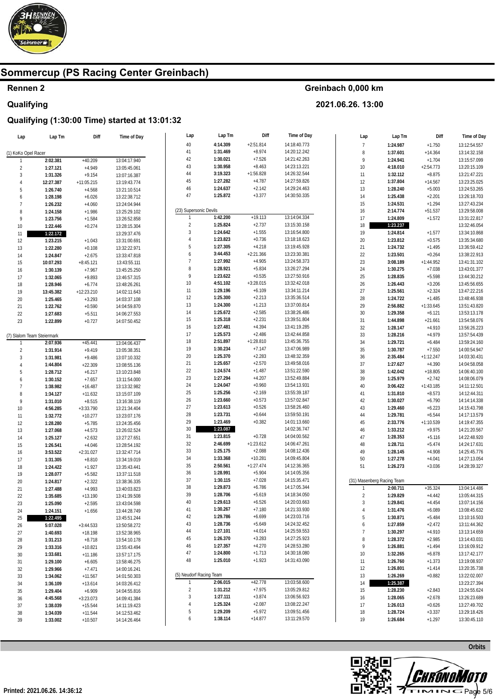

## **Rennen 2 Qualifying**

#### **Greinbach 0,000 km**

**2021.06.26. 13:00** 

| Lap                        | Lap Tm               | Diff                     | Time of Day                  | Lap                     | Lap Tm               | Diff                  | Time of Day                  | Lap            | Lap Tm                     | Diff        | Time of Day  |
|----------------------------|----------------------|--------------------------|------------------------------|-------------------------|----------------------|-----------------------|------------------------------|----------------|----------------------------|-------------|--------------|
|                            |                      |                          |                              | 40                      | 4:14.309             | $+2:51.814$           | 14:18:40.773                 | $\overline{7}$ | 1:24.987                   | $+1.750$    | 13:12:54.557 |
| (1) KoKo Opel Racer        |                      |                          |                              | 41                      | 1:31.469             | $+8.974$              | 14:20:12.242                 | 8              | 1:37.601                   | $+14.364$   | 13:14:32.158 |
|                            | 2:02.381             | $+40.209$                | 13:04:17.940                 | 42                      | 1:30.021             | $+7.526$              | 14:21:42.263                 | 9              | 1:24.941                   | $+1.704$    | 13:15:57.099 |
| 2                          | 1:27.121             | $+4.949$                 | 13:05:45.061                 | 43                      | 1:30.958             | $+8.463$              | 14:23:13.221                 | 10             | 4:18.010                   | $+2:54.773$ | 13:20:15.109 |
| 3                          | 1:31.326             | $+9.154$                 | 13:07:16.387                 | 44                      | 3:19.323             | $+1:56.828$           | 14:26:32.544                 | 11             | 1:32.112                   | $+8.875$    | 13:21:47.221 |
|                            | 12:27.387            | $+11:05.215$             | 13:19:43.774                 | 45                      | 1:27.282             | $+4.787$              | 14:27:59.826                 | 12             | 1:37.804                   | $+14.567$   | 13:23:25.025 |
| 5                          | 1:26.740             | $+4.568$                 | 13:21:10.514                 | 46                      | 1:24.637             | $+2.142$              | 14:29:24.463                 | 13             | 1:28.240                   | $+5.003$    | 13:24:53.265 |
| 6                          | 1:28.198             | $+6.026$                 | 13:22:38.712                 | 47                      | 1:25.872             | $+3.377$              | 14:30:50.335                 | 14             | 1:25.438                   | $+2.201$    | 13:26:18.703 |
| $\overline{7}$             | 1:26.232             | $+4.060$                 | 13:24:04.944                 |                         |                      |                       |                              | 15             | 1:24.531                   | $+1.294$    | 13:27:43.234 |
| 8                          | 1:24.158             | $+1.986$                 | 13:25:29.102                 | (23) Supersonic Devils  |                      |                       |                              | 16             | 2:14.774                   | $+51.537$   | 13:29:58.008 |
| 9                          | 1:23.756             | $+1.584$                 | 13:26:52.858                 |                         | 1:42.200             | $+19.113$             | 13:14:04.334                 | 17             | 1:24.809                   | $+1.572$    | 13:31:22.817 |
| 10                         | 1:22.446             | $+0.274$                 | 13:28:15.304                 | $\overline{2}$          | 1:25.824             | $+2.737$              | 13:15:30.158                 | 18             | 1:23.237                   |             | 13:32:46.054 |
| 11                         | 1:22.172             |                          | 13:29:37.476                 | 3                       | 1:24.642             | $+1.555$              | 13:16:54.800                 | 19             | 1:24.814                   | $+1.577$    | 13:34:10.868 |
| 12                         | 1:23.215             | $+1.043$                 | 13:31:00.691                 | $\overline{4}$          | 1:23.823             | $+0.736$              | 13:18:18.623                 | $20\,$         | 1:23.812                   | $+0.575$    | 13:35:34.680 |
| 13                         | 1:22.280             | $+0.108$                 | 13:32:22.971                 | 5                       | 1:27.305             | $+4.218$              | 13:19:45.928                 | 21             | 1:24.732                   | $+1.495$    | 13:36:59.412 |
| 14                         | 1:24.847             | $+2.675$                 | 13:33:47.818                 | 6                       | 3:44.453             | $+2:21.366$           | 13:23:30.381                 | 22             | 1:23.501                   | $+0.264$    | 13:38:22.913 |
| 15                         | 10:07.293            | $+8:45.121$              | 13:43:55.111                 | $\overline{7}$          | 1:27.992             | $+4.905$              | 13:24:58.373                 | 23             | 3:08.189                   | $+1:44.952$ | 13:41:31.102 |
| 16                         | 1:30.139             | $+7.967$                 | 13:45:25.250                 | 8                       | 1:28.921             | $+5.834$              | 13:26:27.294                 | 24             | 1:30.275                   | $+7.038$    | 13:43:01.377 |
| 17                         | 1:32.065             | $+9.893$                 | 13:46:57.315                 | $\overline{9}$          | 1:23.622             | $+0.535$              | 13:27:50.916                 | 25             | 1:28.835                   | $+5.598$    | 13:44:30.212 |
| 18                         | 1:28.946             | $+6.774$                 | 13:48:26.261                 | 10                      | 4:51.102             | $+3:28.015$           | 13:32:42.018                 | 26             | 1:26.443                   | $+3.206$    | 13:45:56.655 |
| 19                         | 13:45.382            | $+12:23.210$             | 14:02:11.643                 | 11                      | 1:29.196             | $+6.109$              | 13:34:11.214                 | 27             | 1:25.561                   | $+2.324$    | 13:47:22.216 |
| 20                         | 1:25.465             | $+3.293$                 | 14:03:37.108                 | 12                      | 1:25.300             | $+2.213$              | 13:35:36.514                 | 28             | 1:24.722                   | $+1.485$    | 13:48:46.938 |
| 21                         | 1:22.762             | $+0.590$                 | 14:04:59.870                 | 13                      | 1:24.300             | $+1.213$              | 13:37:00.814                 | 29             | 2:56.882                   | $+1:33.645$ | 13:51:43.820 |
| 22                         | 1:27.683             | $+5.511$                 | 14:06:27.553                 | 14                      | 1:25.672             | $+2.585$              | 13:38:26.486                 | $30\,$         | 1:29.358                   | $+6.121$    | 13:53:13.178 |
| 23                         | 1:22.899             | $+0.727$                 | 14:07:50.452                 | 15                      | 1:25.318             | $+2.231$              | 13:39:51.804                 | 31             | 1:44.898                   | $+21.661$   | 13:54:58.076 |
|                            |                      |                          |                              | 16                      | 1:27.481             | $+4.394$              | 13:41:19.285                 | 32             | 1:28.147                   | $+4.910$    | 13:56:26.223 |
| (7) Slalom Team Steiermark |                      |                          |                              | 17                      | 1:25.573             | $+2.486$              | 13:42:44.858                 | 33             | 1:28.216                   | $+4.979$    | 13:57:54.439 |
|                            | 2:07.936             | $+45.441$                | 13:04:06.437                 | 18                      | 2:51.897             | $+1:28.810$           | 13:45:36.755                 | 34             | 1:29.721                   | $+6.484$    | 13:59:24.160 |
| $\overline{2}$             | 1:31.914             | $+9.419$                 | 13:05:38.351                 | 19                      | 1:30.234             | $+7.147$              | 13:47:06.989                 | 35             | 1:30.787                   | $+7.550$    | 14:00:54.947 |
| 3                          | 1:31.981             | $+9.486$                 | 13:07:10.332                 | 20                      | 1:25.370             | $+2.283$              | 13:48:32.359                 | 36             | 2:35.484                   | $+1:12.247$ | 14:03:30.431 |
|                            | 1:44.804             | $+22.309$                | 13:08:55.136                 | 21                      | 1:25.657             | $+2.570$              | 13:49:58.016                 | 37             | 1:27.627                   | $+4.390$    | 14:04:58.058 |
| 5                          | 1:28.712             | $+6.217$                 | 13:10:23.848                 | 22                      | 1:24.574             | $+1.487$              | 13:51:22.590                 | 38             | 1:42.042                   | $+18.805$   | 14:06:40.100 |
| 6                          | 1:30.152             | $+7.657$                 | 13:11:54.000                 | 23                      | 1:27.294             | $+4.207$              | 13:52:49.884                 | 39             | 1:25.979                   | $+2.742$    | 14:08:06.079 |
| $\overline{7}$             | 1:38.982             | $+16.487$                | 13:13:32.982                 | 24                      | 1:24.047             | $+0.960$              | 13:54:13.931                 | 40             | 3:06.422                   | $+1:43.185$ | 14:11:12.501 |
| 8                          | 1:34.127             | $+11.632$                | 13:15:07.109                 | 25                      | 1:25.256             | $+2.169$              | 13:55:39.187                 | 41             | 1:31.810                   | $+8.573$    | 14:12:44.311 |
| $\mathsf{Q}$               | 1:31.010             | $+8.515$                 | 13:16:38.119                 | 26                      | 1:23.660             | $+0.573$              | 13:57:02.847                 | 42             | 1:30.027                   | $+6.790$    | 14:14:14.338 |
| 10                         | 4:56.285             | $+3:33.790$              | 13:21:34.404                 | 27                      | 1:23.613             | $+0.526$              | 13:58:26.460                 | 43             | 1:29.460                   | $+6.223$    | 14:15:43.798 |
| 11                         | 1:32.772             | $+10.277$                | 13:23:07.176                 | 28                      | 1:23.731             | $+0.644$              | 13:59:50.191                 | 44             | 1:29.781                   | $+6.544$    | 14:17:13.579 |
| 12                         | 1:28.280             | $+5.785$                 | 13:24:35.456                 | 29                      | 1:23.469             | $+0.382$              | 14:01:13.660                 | 45             | 2:33.776                   | $+1:10.539$ | 14:19:47.355 |
| 13                         | 1:27.068             | $+4.573$                 | 13:26:02.524                 | 30                      | 1:23.087             |                       | 14:02:36.747                 | 46             | 1:33.212                   | $+9.975$    | 14:21:20.567 |
| 14                         | 1:25.127             | $+2.632$                 | 13:27:27.651                 | 31                      | 1:23.815             | $+0.728$              | 14:04:00.562                 | 47             | 1:28.353                   | $+5.116$    | 14:22:48.920 |
| 15                         | 1:26.541             | $+4.046$                 | 13:28:54.192                 | 32                      | 2:46.699             | $+1:23.612$           | 14:06:47.261                 | 48             | 1:28.711                   | $+5.474$    | 14:24:17.631 |
| 16                         | 3:53.522             | $+2:31.027$              | 13:32:47.714                 | 33                      | 1:25.175             | $+2.088$              | 14:08:12.436                 | 49             | 1:28.145                   | $+4.908$    | 14:25:45.776 |
| 17                         | 1:31.305             | $+8.810$                 | 13:34:19.019                 | 34                      | 1:33.368             | $+10.281$             | 14:09:45.804                 | 50             | 1:27.278                   | $+4.041$    | 14:27:13.054 |
| 18                         | 1:24.422             | $+1.927$                 | 13:35:43.441                 | 35                      | 2:50.561             | $+1:27.474$           | 14:12:36.365                 | 51             | 1:26.273                   | $+3.036$    | 14:28:39.327 |
| 19                         | 1:28.077             | $+5.582$                 | 13:37:11.518                 | 36                      | 1:28.991             | $+5.904$              | 14:14:05.356                 |                |                            |             |              |
| 20                         | 1:24.817             | $+2.322$                 | 13:38:36.335                 | 37                      | 1:30.115             | $+7.028$              | 14:15:35.471                 |                | (31) Masenberg Racing Team |             |              |
| 21                         | 1:27.488             | $+4.993$                 | 13:40:03.823                 | 38                      | 1:29.873             | $+6.786$              | 14:17:05.344                 | 1              | 2:00.711                   | $+35.324$   | 13:04:14.486 |
| 22                         | 1:35.685             | $+13.190$                | 13:41:39.508                 | 39                      | 1:28.706             | $+5.619$              | 14:18:34.050                 | $\overline{2}$ | 1:29.829                   | $+4.442$    | 13:05:44.315 |
| 23                         | 1:25.090             | $+2.595$                 | 13:43:04.598                 | 40                      | 1:29.613             | $+6.526$              | 14:20:03.663                 | 3              | 1:29.841                   | $+4.454$    | 13:07:14.156 |
| 24                         |                      | $+1.656$                 |                              | 41                      | 1:30.267             | $+7.180$              | 14:21:33.930                 | 4              | 1:31.476                   | $+6.089$    | 13:08:45.632 |
|                            | 1:24.151             |                          | 13:44:28.749                 | 42                      | 1:29.786             | $+6.699$              | 14:23:03.716                 | 5              | 1:30.871                   | $+5.484$    | 13:10:16.503 |
| 25                         | 1:22.495<br>5:07.028 |                          | 13:45:51.244<br>13:50:58.272 | 43                      | 1:28.736             | $+5.649$              | 14:24:32.452                 | 6              | 1:27.859                   | $+2.472$    | 13:11:44.362 |
| 26                         | 1:40.693             | $+3:44.533$<br>$+18.198$ | 13:52:38.965                 | 44                      | 1:27.101             | $+4.014$              | 14:25:59.553                 | $\overline{7}$ | 1:30.297                   | +4.910      | 13:13:14.659 |
| 27                         |                      |                          |                              | 45                      | 1:26.370             | $+3.283$              | 14:27:25.923                 | 8              | 1:28.372                   | $+2.985$    | 13:14:43.031 |
| 28<br>29                   | 1:31.213<br>1:33.316 | $+8.718$                 | 13:54:10.178                 | 46                      | 1:27.357             | $+4.270$              | 14:28:53.280                 | 9              | 1:26.881                   | $+1.494$    | 13:16:09.912 |
|                            |                      | $+10.821$                | 13:55:43.494                 | 47                      | 1:24.800             | $+1.713$              | 14:30:18.080                 | 10             | 1:32.265                   | $+6.878$    | 13:17:42.177 |
| 30                         | 1:33.681             | $+11.186$                | 13:57:17.175                 | 48                      | 1:25.010             | $+1.923$              | 14:31:43.090                 | 11             | 1:26.760                   | $+1.373$    | 13:19:08.937 |
| 31                         | 1:29.100             | $+6.605$                 | 13:58:46.275                 |                         |                      |                       |                              | 12             | 1:26.801                   | $+1.414$    | 13:20:35.738 |
| 32                         | 1:29.966             | $+7.471$                 | 14:00:16.241                 | (5) Neudorf Racing Team |                      |                       |                              | 13             |                            |             |              |
| 33                         | 1:34.062             | $+11.567$                | 14:01:50.303                 | $\mathbf{1}$            | 2:06.015             | $+42.778$             | 13:03:58.600                 |                | 1:26.269                   | $+0.882$    | 13:22:02.007 |
| 34                         | 1:36.109             | $+13.614$                | 14:03:26.412                 | $\overline{2}$          | 1:31.212             | $+7.975$              | 13:05:29.812                 | 14             | 1:25.387                   |             | 13:23:27.394 |
| 35                         | 1:29.404             | $+6.909$                 | 14:04:55.816                 | 3                       | 1:27.111             | $+3.874$              |                              | 15             | 1:28.230                   | $+2.843$    | 13:24:55.624 |
| 36                         | 4:45.568             | $+3:23.073$              | 14:09:41.384                 | $\overline{4}$          | 1:25.324             | $+2.087$              | 13:06:56.923<br>13:08:22.247 | 16             | 1:28.065                   | $+2.678$    | 13:26:23.689 |
| 37                         | 1:38.039             | $+15.544$                | 14:11:19.423                 |                         |                      |                       |                              | 17             | 1:26.013                   | $+0.626$    | 13:27:49.702 |
| 38                         | 1:34.039             | $+11.544$                | 14:12:53.462                 | 5<br>6                  | 1:29.209<br>1:38.114 | $+5.972$<br>$+14.877$ | 13:09:51.456<br>13:11:29.570 | 18             | 1:28.724                   | $+3.337$    | 13:29:18.426 |
| 39                         | 1:33.002             | $+10.507$                | 14:14:26.464                 |                         |                      |                       |                              | 19             | 1:26.684                   | $+1.297$    | 13:30:45.110 |